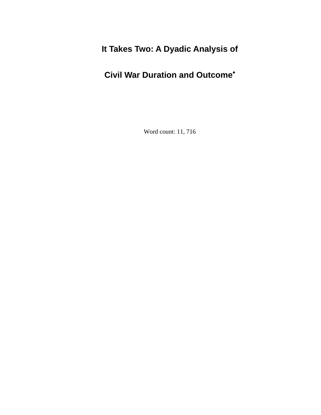# **It Takes Two: A Dyadic Analysis of**

# **Civil War Duration and Outcome**•

Word count: 11, 716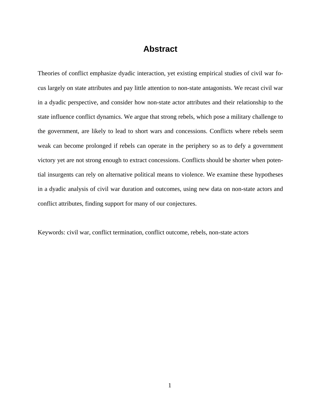## **Abstract**

Theories of conflict emphasize dyadic interaction, yet existing empirical studies of civil war focus largely on state attributes and pay little attention to non-state antagonists. We recast civil war in a dyadic perspective, and consider how non-state actor attributes and their relationship to the state influence conflict dynamics. We argue that strong rebels, which pose a military challenge to the government, are likely to lead to short wars and concessions. Conflicts where rebels seem weak can become prolonged if rebels can operate in the periphery so as to defy a government victory yet are not strong enough to extract concessions. Conflicts should be shorter when potential insurgents can rely on alternative political means to violence. We examine these hypotheses in a dyadic analysis of civil war duration and outcomes, using new data on non-state actors and conflict attributes, finding support for many of our conjectures.

Keywords: civil war, conflict termination, conflict outcome, rebels, non-state actors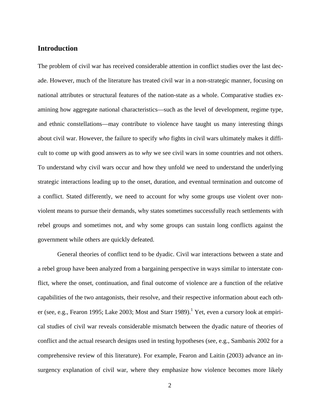### **Introduction**

The problem of civil war has received considerable attention in conflict studies over the last decade. However, much of the literature has treated civil war in a non-strategic manner, focusing on national attributes or structural features of the nation-state as a whole. Comparative studies examining how aggregate national characteristics—such as the level of development, regime type, and ethnic constellations—may contribute to violence have taught us many interesting things about civil war. However, the failure to specify *who* fights in civil wars ultimately makes it difficult to come up with good answers as to *why* we see civil wars in some countries and not others. To understand why civil wars occur and how they unfold we need to understand the underlying strategic interactions leading up to the onset, duration, and eventual termination and outcome of a conflict. Stated differently, we need to account for why some groups use violent over nonviolent means to pursue their demands, why states sometimes successfully reach settlements with rebel groups and sometimes not, and why some groups can sustain long conflicts against the government while others are quickly defeated.

General theories of conflict tend to be dyadic. Civil war interactions between a state and a rebel group have been analyzed from a bargaining perspective in ways similar to interstate conflict, where the onset, continuation, and final outcome of violence are a function of the relative capabilities of the two antagonists, their resolve, and their respective information about each other (see, e.g., Fearon 1995; Lake 2003; Most and Starr 1989).<sup>1</sup> Yet, even a cursory look at empirical studies of civil war reveals considerable mismatch between the dyadic nature of theories of conflict and the actual research designs used in testing hypotheses (see, e.g., Sambanis 2002 for a comprehensive review of this literature). For example, Fearon and Laitin (2003) advance an insurgency explanation of civil war, where they emphasize how violence becomes more likely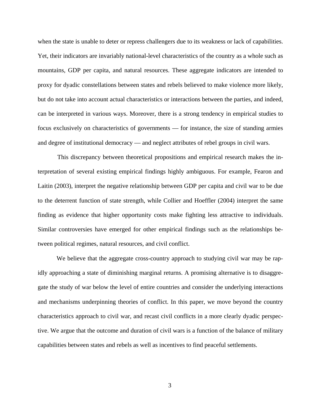when the state is unable to deter or repress challengers due to its weakness or lack of capabilities. Yet, their indicators are invariably national-level characteristics of the country as a whole such as mountains, GDP per capita, and natural resources. These aggregate indicators are intended to proxy for dyadic constellations between states and rebels believed to make violence more likely, but do not take into account actual characteristics or interactions between the parties, and indeed, can be interpreted in various ways. Moreover, there is a strong tendency in empirical studies to focus exclusively on characteristics of governments — for instance, the size of standing armies and degree of institutional democracy — and neglect attributes of rebel groups in civil wars.

This discrepancy between theoretical propositions and empirical research makes the interpretation of several existing empirical findings highly ambiguous. For example, Fearon and Laitin (2003), interpret the negative relationship between GDP per capita and civil war to be due to the deterrent function of state strength, while Collier and Hoeffler (2004) interpret the same finding as evidence that higher opportunity costs make fighting less attractive to individuals. Similar controversies have emerged for other empirical findings such as the relationships between political regimes, natural resources, and civil conflict.

We believe that the aggregate cross-country approach to studying civil war may be rapidly approaching a state of diminishing marginal returns. A promising alternative is to disaggregate the study of war below the level of entire countries and consider the underlying interactions and mechanisms underpinning theories of conflict. In this paper, we move beyond the country characteristics approach to civil war, and recast civil conflicts in a more clearly dyadic perspective. We argue that the outcome and duration of civil wars is a function of the balance of military capabilities between states and rebels as well as incentives to find peaceful settlements.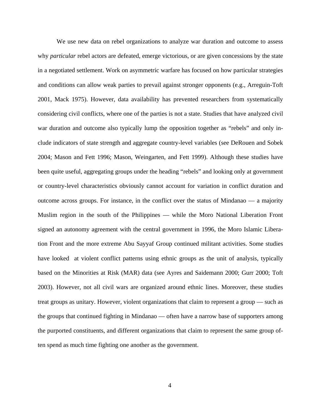We use new data on rebel organizations to analyze war duration and outcome to assess why *particular* rebel actors are defeated, emerge victorious, or are given concessions by the state in a negotiated settlement. Work on asymmetric warfare has focused on how particular strategies and conditions can allow weak parties to prevail against stronger opponents (e.g., Arreguin-Toft 2001, Mack 1975). However, data availability has prevented researchers from systematically considering civil conflicts, where one of the parties is not a state. Studies that have analyzed civil war duration and outcome also typically lump the opposition together as "rebels" and only include indicators of state strength and aggregate country-level variables (see DeRouen and Sobek 2004; Mason and Fett 1996; Mason, Weingarten, and Fett 1999). Although these studies have been quite useful, aggregating groups under the heading "rebels" and looking only at government or country-level characteristics obviously cannot account for variation in conflict duration and outcome across groups. For instance, in the conflict over the status of Mindanao — a majority Muslim region in the south of the Philippines — while the Moro National Liberation Front signed an autonomy agreement with the central government in 1996, the Moro Islamic Liberation Front and the more extreme Abu Sayyaf Group continued militant activities. Some studies have looked at violent conflict patterns using ethnic groups as the unit of analysis, typically based on the Minorities at Risk (MAR) data (see Ayres and Saidemann 2000; Gurr 2000; Toft 2003). However, not all civil wars are organized around ethnic lines. Moreover, these studies treat groups as unitary. However, violent organizations that claim to represent a group — such as the groups that continued fighting in Mindanao — often have a narrow base of supporters among the purported constituents, and different organizations that claim to represent the same group often spend as much time fighting one another as the government.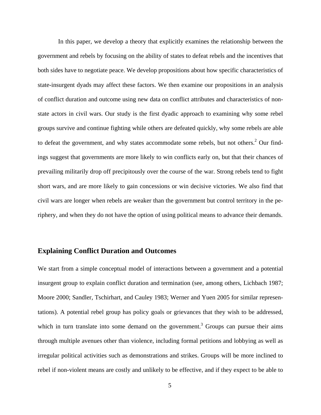In this paper, we develop a theory that explicitly examines the relationship between the government and rebels by focusing on the ability of states to defeat rebels and the incentives that both sides have to negotiate peace. We develop propositions about how specific characteristics of state-insurgent dyads may affect these factors. We then examine our propositions in an analysis of conflict duration and outcome using new data on conflict attributes and characteristics of nonstate actors in civil wars. Our study is the first dyadic approach to examining why some rebel groups survive and continue fighting while others are defeated quickly, why some rebels are able to defeat the government, and why states accommodate some rebels, but not others. $2$  Our findings suggest that governments are more likely to win conflicts early on, but that their chances of prevailing militarily drop off precipitously over the course of the war. Strong rebels tend to fight short wars, and are more likely to gain concessions or win decisive victories. We also find that civil wars are longer when rebels are weaker than the government but control territory in the periphery, and when they do not have the option of using political means to advance their demands.

#### **Explaining Conflict Duration and Outcomes**

We start from a simple conceptual model of interactions between a government and a potential insurgent group to explain conflict duration and termination (see, among others, Lichbach 1987; Moore 2000; Sandler, Tschirhart, and Cauley 1983; Werner and Yuen 2005 for similar representations). A potential rebel group has policy goals or grievances that they wish to be addressed, which in turn translate into some demand on the government.<sup>3</sup> Groups can pursue their aims through multiple avenues other than violence, including formal petitions and lobbying as well as irregular political activities such as demonstrations and strikes. Groups will be more inclined to rebel if non-violent means are costly and unlikely to be effective, and if they expect to be able to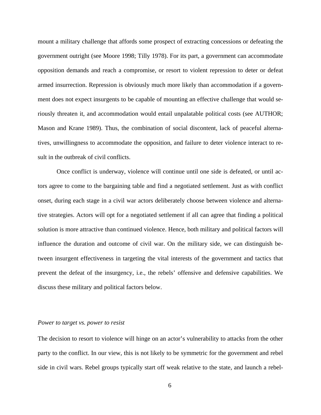mount a military challenge that affords some prospect of extracting concessions or defeating the government outright (see Moore 1998; Tilly 1978). For its part, a government can accommodate opposition demands and reach a compromise, or resort to violent repression to deter or defeat armed insurrection. Repression is obviously much more likely than accommodation if a government does not expect insurgents to be capable of mounting an effective challenge that would seriously threaten it, and accommodation would entail unpalatable political costs (see AUTHOR; Mason and Krane 1989). Thus, the combination of social discontent, lack of peaceful alternatives, unwillingness to accommodate the opposition, and failure to deter violence interact to result in the outbreak of civil conflicts.

Once conflict is underway, violence will continue until one side is defeated, or until actors agree to come to the bargaining table and find a negotiated settlement. Just as with conflict onset, during each stage in a civil war actors deliberately choose between violence and alternative strategies. Actors will opt for a negotiated settlement if all can agree that finding a political solution is more attractive than continued violence. Hence, both military and political factors will influence the duration and outcome of civil war. On the military side, we can distinguish between insurgent effectiveness in targeting the vital interests of the government and tactics that prevent the defeat of the insurgency, i.e., the rebels' offensive and defensive capabilities. We discuss these military and political factors below.

#### *Power to target vs. power to resist*

The decision to resort to violence will hinge on an actor's vulnerability to attacks from the other party to the conflict. In our view, this is not likely to be symmetric for the government and rebel side in civil wars. Rebel groups typically start off weak relative to the state, and launch a rebel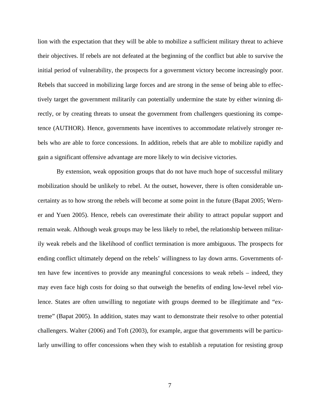lion with the expectation that they will be able to mobilize a sufficient military threat to achieve their objectives. If rebels are not defeated at the beginning of the conflict but able to survive the initial period of vulnerability, the prospects for a government victory become increasingly poor. Rebels that succeed in mobilizing large forces and are strong in the sense of being able to effectively target the government militarily can potentially undermine the state by either winning directly, or by creating threats to unseat the government from challengers questioning its competence (AUTHOR). Hence, governments have incentives to accommodate relatively stronger rebels who are able to force concessions. In addition, rebels that are able to mobilize rapidly and gain a significant offensive advantage are more likely to win decisive victories.

By extension, weak opposition groups that do not have much hope of successful military mobilization should be unlikely to rebel. At the outset, however, there is often considerable uncertainty as to how strong the rebels will become at some point in the future (Bapat 2005; Werner and Yuen 2005). Hence, rebels can overestimate their ability to attract popular support and remain weak. Although weak groups may be less likely to rebel, the relationship between militarily weak rebels and the likelihood of conflict termination is more ambiguous. The prospects for ending conflict ultimately depend on the rebels' willingness to lay down arms. Governments often have few incentives to provide any meaningful concessions to weak rebels – indeed, they may even face high costs for doing so that outweigh the benefits of ending low-level rebel violence. States are often unwilling to negotiate with groups deemed to be illegitimate and "extreme" (Bapat 2005). In addition, states may want to demonstrate their resolve to other potential challengers. Walter (2006) and Toft (2003), for example, argue that governments will be particularly unwilling to offer concessions when they wish to establish a reputation for resisting group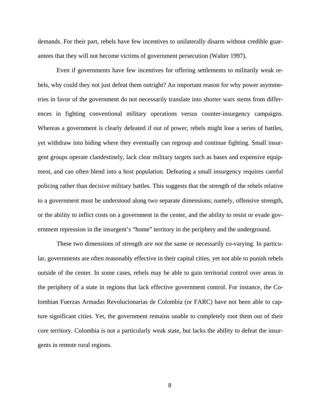demands. For their part, rebels have few incentives to unilaterally disarm without credible guarantees that they will not become victims of government persecution (Walter 1997).

Even if governments have few incentives for offering settlements to militarily weak rebels, why could they not just defeat them outright? An important reason for why power asymmetries in favor of the government do not necessarily translate into shorter wars stems from differences in fighting conventional military operations versus counter-insurgency campaigns. Whereas a government is clearly defeated if out of power, rebels might lose a series of battles, yet withdraw into hiding where they eventually can regroup and continue fighting. Small insurgent groups operate clandestinely, lack clear military targets such as bases and expensive equipment, and can often blend into a host population. Defeating a small insurgency requires careful policing rather than decisive military battles. This suggests that the strength of the rebels relative to a government must be understood along two separate dimensions; namely, offensive strength, or the ability to inflict costs on a government in the center, and the ability to resist or evade government repression in the insurgent's "home" territory in the periphery and the underground.

These two dimensions of strength *are not* the same or necessarily co-varying. In particular, governments are often reasonably effective in their capital cities, yet not able to punish rebels outside of the center. In some cases, rebels may be able to gain territorial control over areas in the periphery of a state in regions that lack effective government control. For instance, the Colombian Fuerzas Armadas Revolucionarias de Colombia (or FARC) have not been able to capture significant cities. Yet, the government remains unable to completely root them out of their core territory. Colombia is not a particularly weak state, but lacks the ability to defeat the insurgents in remote rural regions.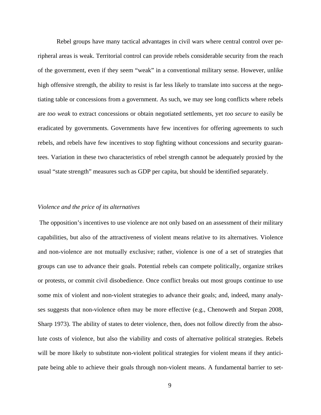Rebel groups have many tactical advantages in civil wars where central control over peripheral areas is weak. Territorial control can provide rebels considerable security from the reach of the government, even if they seem "weak" in a conventional military sense. However, unlike high offensive strength, the ability to resist is far less likely to translate into success at the negotiating table or concessions from a government. As such, we may see long conflicts where rebels are *too weak* to extract concessions or obtain negotiated settlements, yet *too secure* to easily be eradicated by governments. Governments have few incentives for offering agreements to such rebels, and rebels have few incentives to stop fighting without concessions and security guarantees. Variation in these two characteristics of rebel strength cannot be adequately proxied by the usual "state strength" measures such as GDP per capita, but should be identified separately.

#### *Violence and the price of its alternatives*

 The opposition's incentives to use violence are not only based on an assessment of their military capabilities, but also of the attractiveness of violent means relative to its alternatives. Violence and non-violence are not mutually exclusive; rather, violence is one of a set of strategies that groups can use to advance their goals. Potential rebels can compete politically, organize strikes or protests, or commit civil disobedience. Once conflict breaks out most groups continue to use some mix of violent and non-violent strategies to advance their goals; and, indeed, many analyses suggests that non-violence often may be more effective (e.g., Chenoweth and Stepan 2008, Sharp 1973). The ability of states to deter violence, then, does not follow directly from the absolute costs of violence, but also the viability and costs of alternative political strategies. Rebels will be more likely to substitute non-violent political strategies for violent means if they anticipate being able to achieve their goals through non-violent means. A fundamental barrier to set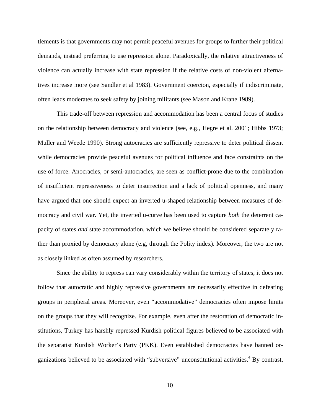tlements is that governments may not permit peaceful avenues for groups to further their political demands, instead preferring to use repression alone. Paradoxically, the relative attractiveness of violence can actually increase with state repression if the relative costs of non-violent alternatives increase more (see Sandler et al 1983). Government coercion, especially if indiscriminate, often leads moderates to seek safety by joining militants (see Mason and Krane 1989).

This trade-off between repression and accommodation has been a central focus of studies on the relationship between democracy and violence (see, e.g., Hegre et al. 2001; Hibbs 1973; Muller and Weede 1990). Strong autocracies are sufficiently repressive to deter political dissent while democracies provide peaceful avenues for political influence and face constraints on the use of force. Anocracies, or semi-autocracies, are seen as conflict-prone due to the combination of insufficient repressiveness to deter insurrection and a lack of political openness, and many have argued that one should expect an inverted u-shaped relationship between measures of democracy and civil war. Yet, the inverted u-curve has been used to capture *both* the deterrent capacity of states *and* state accommodation, which we believe should be considered separately rather than proxied by democracy alone (e.g, through the Polity index). Moreover, the two are not as closely linked as often assumed by researchers.

Since the ability to repress can vary considerably within the territory of states, it does not follow that autocratic and highly repressive governments are necessarily effective in defeating groups in peripheral areas. Moreover, even "accommodative" democracies often impose limits on the groups that they will recognize. For example, even after the restoration of democratic institutions, Turkey has harshly repressed Kurdish political figures believed to be associated with the separatist Kurdish Worker's Party (PKK). Even established democracies have banned organizations believed to be associated with "subversive" unconstitutional activities.<sup>4</sup> By contrast,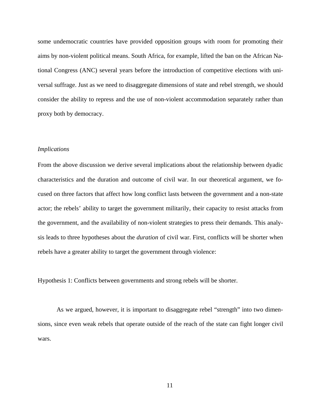some undemocratic countries have provided opposition groups with room for promoting their aims by non-violent political means. South Africa, for example, lifted the ban on the African National Congress (ANC) several years before the introduction of competitive elections with universal suffrage. Just as we need to disaggregate dimensions of state and rebel strength, we should consider the ability to repress and the use of non-violent accommodation separately rather than proxy both by democracy.

#### *Implications*

From the above discussion we derive several implications about the relationship between dyadic characteristics and the duration and outcome of civil war. In our theoretical argument, we focused on three factors that affect how long conflict lasts between the government and a non-state actor; the rebels' ability to target the government militarily, their capacity to resist attacks from the government, and the availability of non-violent strategies to press their demands. This analysis leads to three hypotheses about the *duration* of civil war. First, conflicts will be shorter when rebels have a greater ability to target the government through violence:

Hypothesis 1: Conflicts between governments and strong rebels will be shorter.

As we argued, however, it is important to disaggregate rebel "strength" into two dimensions, since even weak rebels that operate outside of the reach of the state can fight longer civil wars.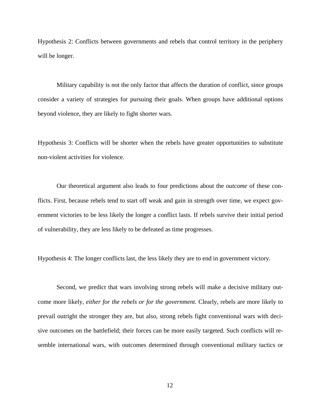Hypothesis 2: Conflicts between governments and rebels that control territory in the periphery will be longer.

Military capability is not the only factor that affects the duration of conflict, since groups consider a variety of strategies for pursuing their goals. When groups have additional options beyond violence, they are likely to fight shorter wars.

Hypothesis 3: Conflicts will be shorter when the rebels have greater opportunities to substitute non-violent activities for violence.

 Our theoretical argument also leads to four predictions about the *outcome* of these conflicts. First, because rebels tend to start off weak and gain in strength over time, we expect government victories to be less likely the longer a conflict lasts. If rebels survive their initial period of vulnerability, they are less likely to be defeated as time progresses.

Hypothesis 4: The longer conflicts last, the less likely they are to end in government victory.

Second, we predict that wars involving strong rebels will make a decisive military outcome more likely, *either for the rebels or for the government.* Clearly, rebels are more likely to prevail outright the stronger they are, but also, strong rebels fight conventional wars with decisive outcomes on the battlefield; their forces can be more easily targeted. Such conflicts will resemble international wars, with outcomes determined through conventional military tactics or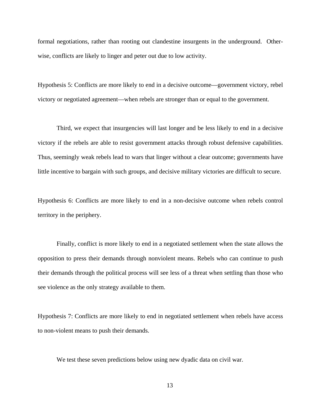formal negotiations, rather than rooting out clandestine insurgents in the underground. Otherwise, conflicts are likely to linger and peter out due to low activity.

Hypothesis 5: Conflicts are more likely to end in a decisive outcome—government victory, rebel victory or negotiated agreement—when rebels are stronger than or equal to the government.

Third, we expect that insurgencies will last longer and be less likely to end in a decisive victory if the rebels are able to resist government attacks through robust defensive capabilities. Thus, seemingly weak rebels lead to wars that linger without a clear outcome; governments have little incentive to bargain with such groups, and decisive military victories are difficult to secure.

Hypothesis 6: Conflicts are more likely to end in a non-decisive outcome when rebels control territory in the periphery.

Finally, conflict is more likely to end in a negotiated settlement when the state allows the opposition to press their demands through nonviolent means. Rebels who can continue to push their demands through the political process will see less of a threat when settling than those who see violence as the only strategy available to them.

Hypothesis 7: Conflicts are more likely to end in negotiated settlement when rebels have access to non-violent means to push their demands.

We test these seven predictions below using new dyadic data on civil war.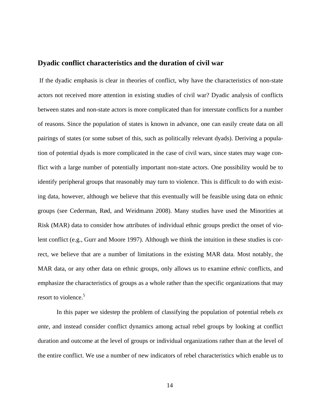#### **Dyadic conflict characteristics and the duration of civil war**

 If the dyadic emphasis is clear in theories of conflict, why have the characteristics of non-state actors not received more attention in existing studies of civil war? Dyadic analysis of conflicts between states and non-state actors is more complicated than for interstate conflicts for a number of reasons. Since the population of states is known in advance, one can easily create data on all pairings of states (or some subset of this, such as politically relevant dyads). Deriving a population of potential dyads is more complicated in the case of civil wars, since states may wage conflict with a large number of potentially important non-state actors. One possibility would be to identify peripheral groups that reasonably may turn to violence. This is difficult to do with existing data, however, although we believe that this eventually will be feasible using data on ethnic groups (see Cederman, Rød, and Weidmann 2008). Many studies have used the Minorities at Risk (MAR) data to consider how attributes of individual ethnic groups predict the onset of violent conflict (e.g., Gurr and Moore 1997). Although we think the intuition in these studies is correct, we believe that are a number of limitations in the existing MAR data. Most notably, the MAR data, or any other data on ethnic groups, only allows us to examine *ethnic* conflicts, and emphasize the characteristics of groups as a whole rather than the specific organizations that may resort to violence.<sup>5</sup>

In this paper we sidestep the problem of classifying the population of potential rebels *ex ante*, and instead consider conflict dynamics among actual rebel groups by looking at conflict duration and outcome at the level of groups or individual organizations rather than at the level of the entire conflict. We use a number of new indicators of rebel characteristics which enable us to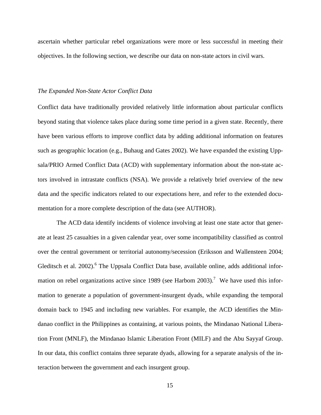ascertain whether particular rebel organizations were more or less successful in meeting their objectives. In the following section, we describe our data on non-state actors in civil wars.

#### *The Expanded Non-State Actor Conflict Data*

Conflict data have traditionally provided relatively little information about particular conflicts beyond stating that violence takes place during some time period in a given state. Recently, there have been various efforts to improve conflict data by adding additional information on features such as geographic location (e.g., Buhaug and Gates 2002). We have expanded the existing Uppsala/PRIO Armed Conflict Data (ACD) with supplementary information about the non-state actors involved in intrastate conflicts (NSA). We provide a relatively brief overview of the new data and the specific indicators related to our expectations here, and refer to the extended documentation for a more complete description of the data (see AUTHOR).

The ACD data identify incidents of violence involving at least one state actor that generate at least 25 casualties in a given calendar year, over some incompatibility classified as control over the central government or territorial autonomy/secession (Eriksson and Wallensteen 2004; Gleditsch et al. 2002).<sup>6</sup> The Uppsala Conflict Data base, available online, adds additional information on rebel organizations active since 1989 (see Harbom 2003).<sup>7</sup> We have used this information to generate a population of government-insurgent dyads, while expanding the temporal domain back to 1945 and including new variables. For example, the ACD identifies the Mindanao conflict in the Philippines as containing, at various points, the Mindanao National Liberation Front (MNLF), the Mindanao Islamic Liberation Front (MILF) and the Abu Sayyaf Group. In our data, this conflict contains three separate dyads, allowing for a separate analysis of the interaction between the government and each insurgent group.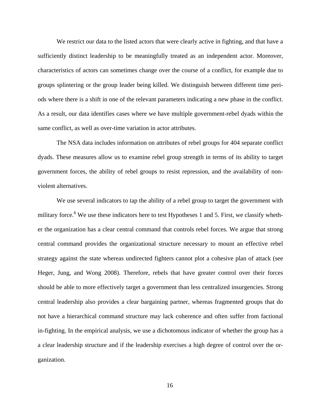We restrict our data to the listed actors that were clearly active in fighting, and that have a sufficiently distinct leadership to be meaningfully treated as an independent actor. Moreover, characteristics of actors can sometimes change over the course of a conflict, for example due to groups splintering or the group leader being killed. We distinguish between different time periods where there is a shift in one of the relevant parameters indicating a new phase in the conflict. As a result, our data identifies cases where we have multiple government-rebel dyads within the same conflict, as well as over-time variation in actor attributes.

The NSA data includes information on attributes of rebel groups for 404 separate conflict dyads. These measures allow us to examine rebel group strength in terms of its ability to target government forces, the ability of rebel groups to resist repression, and the availability of nonviolent alternatives.

We use several indicators to tap the ability of a rebel group to target the government with military force.<sup>8</sup> We use these indicators here to test Hypotheses 1 and 5. First, we classify whether the organization has a clear central command that controls rebel forces. We argue that strong central command provides the organizational structure necessary to mount an effective rebel strategy against the state whereas undirected fighters cannot plot a cohesive plan of attack (see Heger, Jung, and Wong 2008). Therefore, rebels that have greater control over their forces should be able to more effectively target a government than less centralized insurgencies. Strong central leadership also provides a clear bargaining partner, whereas fragmented groups that do not have a hierarchical command structure may lack coherence and often suffer from factional in-fighting. In the empirical analysis, we use a dichotomous indicator of whether the group has a a clear leadership structure and if the leadership exercises a high degree of control over the organization.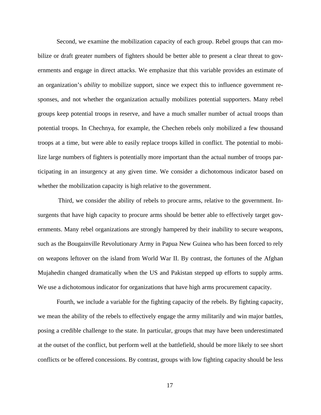Second, we examine the mobilization capacity of each group. Rebel groups that can mobilize or draft greater numbers of fighters should be better able to present a clear threat to governments and engage in direct attacks. We emphasize that this variable provides an estimate of an organization's *ability* to mobilize support, since we expect this to influence government responses, and not whether the organization actually mobilizes potential supporters. Many rebel groups keep potential troops in reserve, and have a much smaller number of actual troops than potential troops. In Chechnya, for example, the Chechen rebels only mobilized a few thousand troops at a time, but were able to easily replace troops killed in conflict. The potential to mobilize large numbers of fighters is potentially more important than the actual number of troops participating in an insurgency at any given time. We consider a dichotomous indicator based on whether the mobilization capacity is high relative to the government.

 Third, we consider the ability of rebels to procure arms, relative to the government. Insurgents that have high capacity to procure arms should be better able to effectively target governments. Many rebel organizations are strongly hampered by their inability to secure weapons, such as the Bougainville Revolutionary Army in Papua New Guinea who has been forced to rely on weapons leftover on the island from World War II. By contrast, the fortunes of the Afghan Mujahedin changed dramatically when the US and Pakistan stepped up efforts to supply arms. We use a dichotomous indicator for organizations that have high arms procurement capacity.

Fourth, we include a variable for the fighting capacity of the rebels. By fighting capacity, we mean the ability of the rebels to effectively engage the army militarily and win major battles, posing a credible challenge to the state. In particular, groups that may have been underestimated at the outset of the conflict, but perform well at the battlefield, should be more likely to see short conflicts or be offered concessions. By contrast, groups with low fighting capacity should be less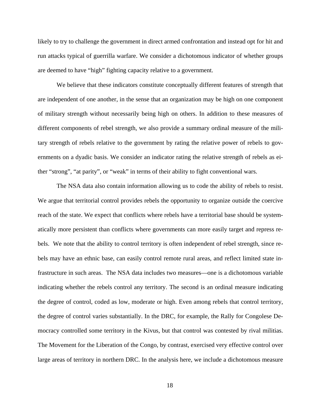likely to try to challenge the government in direct armed confrontation and instead opt for hit and run attacks typical of guerrilla warfare. We consider a dichotomous indicator of whether groups are deemed to have "high" fighting capacity relative to a government.

We believe that these indicators constitute conceptually different features of strength that are independent of one another, in the sense that an organization may be high on one component of military strength without necessarily being high on others. In addition to these measures of different components of rebel strength, we also provide a summary ordinal measure of the military strength of rebels relative to the government by rating the relative power of rebels to governments on a dyadic basis. We consider an indicator rating the relative strength of rebels as either "strong", "at parity", or "weak" in terms of their ability to fight conventional wars.

The NSA data also contain information allowing us to code the ability of rebels to resist. We argue that territorial control provides rebels the opportunity to organize outside the coercive reach of the state. We expect that conflicts where rebels have a territorial base should be systematically more persistent than conflicts where governments can more easily target and repress rebels. We note that the ability to control territory is often independent of rebel strength, since rebels may have an ethnic base, can easily control remote rural areas, and reflect limited state infrastructure in such areas. The NSA data includes two measures—one is a dichotomous variable indicating whether the rebels control any territory. The second is an ordinal measure indicating the degree of control, coded as low, moderate or high. Even among rebels that control territory, the degree of control varies substantially. In the DRC, for example, the Rally for Congolese Democracy controlled some territory in the Kivus, but that control was contested by rival militias. The Movement for the Liberation of the Congo, by contrast, exercised very effective control over large areas of territory in northern DRC. In the analysis here, we include a dichotomous measure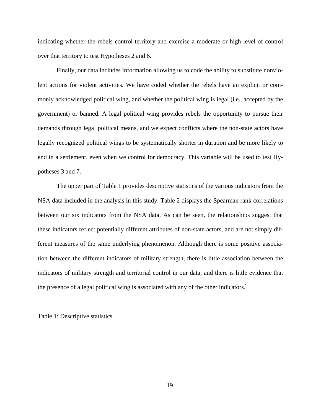indicating whether the rebels control territory and exercise a moderate or high level of control over that territory to test Hypotheses 2 and 6.

Finally, our data includes information allowing us to code the ability to substitute nonviolent actions for violent activities. We have coded whether the rebels have an explicit or commonly acknowledged political wing, and whether the political wing is legal (i.e., accepted by the government) or banned. A legal political wing provides rebels the opportunity to pursue their demands through legal political means, and we expect conflicts where the non-state actors have legally recognized political wings to be systematically shorter in duration and be more likely to end in a settlement, even when we control for democracy. This variable will be used to test Hypotheses 3 and 7.

The upper part of Table 1 provides descriptive statistics of the various indicators from the NSA data included in the analysis in this study. Table 2 displays the Spearman rank correlations between our six indicators from the NSA data. As can be seen, the relationships suggest that these indicators reflect potentially different attributes of non-state actors, and are not simply different measures of the same underlying phenomenon. Although there is some positive association between the different indicators of military strength, there is little association between the indicators of military strength and territorial control in our data, and there is little evidence that the presence of a legal political wing is associated with any of the other indicators.<sup>9</sup>

Table 1: Descriptive statistics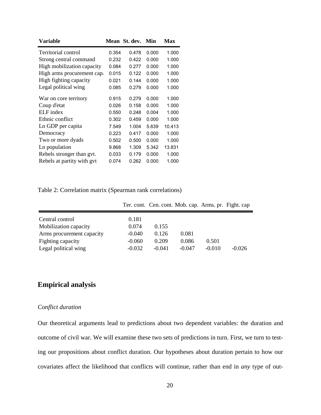| <b>Variable</b>            |       | Mean St. dev. Min |       | Max    |
|----------------------------|-------|-------------------|-------|--------|
| Territorial control        | 0.354 | 0.478             | 0.000 | 1.000  |
| Strong central command     | 0.232 | 0.422             | 0.000 | 1.000  |
| High mobilization capacity | 0.084 | 0.277             | 0.000 | 1.000  |
| High arms procurement cap. | 0.015 | 0.122             | 0.000 | 1.000  |
| High fighting capacity     | 0.021 | 0.144             | 0.000 | 1.000  |
| Legal political wing       | 0.085 | 0.279             | 0.000 | 1.000  |
| War on core territory      | 0.915 | 0.279             | 0.000 | 1.000  |
| Coup d'etat                | 0.026 | 0.158             | 0.000 | 1.000  |
| ELF index                  | 0.550 | 0.248             | 0.004 | 1.000  |
| Ethnic conflict            | 0.302 | 0.459             | 0.000 | 1.000  |
| Ln GDP per capita          | 7.549 | 1.004             | 5.639 | 10.413 |
| Democracy                  | 0.223 | 0.417             | 0.000 | 1.000  |
| Two or more dyads          | 0.502 | 0.500             | 0.000 | 1.000  |
| Ln population              | 9.868 | 1.309             | 5.342 | 13.831 |
| Rebels stronger than gvt.  | 0.033 | 0.179             | 0.000 | 1.000  |
| Rebels at partity with gvt | 0.074 | 0.262             | 0.000 | 1.000  |

Table 2: Correlation matrix (Spearman rank correlations)

|                           |          |          | Ter. cont. Cen. cont. Mob. cap. Arms. pr. Fight. cap |          |          |
|---------------------------|----------|----------|------------------------------------------------------|----------|----------|
| Central control           | 0.181    |          |                                                      |          |          |
| Mobilization capacity     | 0.074    | 0.155    |                                                      |          |          |
| Arms procurement capacity | $-0.040$ | 0.126    | 0.081                                                |          |          |
| Fighting capacity         | $-0.060$ | 0.209    | 0.086                                                | 0.501    |          |
| Legal political wing      | $-0.032$ | $-0.041$ | $-0.047$                                             | $-0.010$ | $-0.026$ |

## **Empirical analysis**

### *Conflict duration*

Our theoretical arguments lead to predictions about two dependent variables: the duration and outcome of civil war. We will examine these two sets of predictions in turn. First, we turn to testing our propositions about conflict duration. Our hypotheses about duration pertain to how our covariates affect the likelihood that conflicts will continue, rather than end in *any* type of out-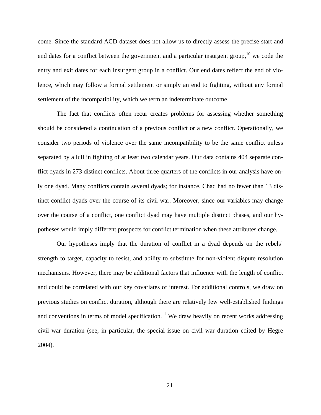come. Since the standard ACD dataset does not allow us to directly assess the precise start and end dates for a conflict between the government and a particular insurgent group,  $10$  we code the entry and exit dates for each insurgent group in a conflict. Our end dates reflect the end of violence, which may follow a formal settlement or simply an end to fighting, without any formal settlement of the incompatibility, which we term an indeterminate outcome.

The fact that conflicts often recur creates problems for assessing whether something should be considered a continuation of a previous conflict or a new conflict. Operationally, we consider two periods of violence over the same incompatibility to be the same conflict unless separated by a lull in fighting of at least two calendar years. Our data contains 404 separate conflict dyads in 273 distinct conflicts. About three quarters of the conflicts in our analysis have only one dyad. Many conflicts contain several dyads; for instance, Chad had no fewer than 13 distinct conflict dyads over the course of its civil war. Moreover, since our variables may change over the course of a conflict, one conflict dyad may have multiple distinct phases, and our hypotheses would imply different prospects for conflict termination when these attributes change.

Our hypotheses imply that the duration of conflict in a dyad depends on the rebels' strength to target, capacity to resist, and ability to substitute for non-violent dispute resolution mechanisms. However, there may be additional factors that influence with the length of conflict and could be correlated with our key covariates of interest. For additional controls, we draw on previous studies on conflict duration, although there are relatively few well-established findings and conventions in terms of model specification.<sup>11</sup> We draw heavily on recent works addressing civil war duration (see, in particular, the special issue on civil war duration edited by Hegre 2004).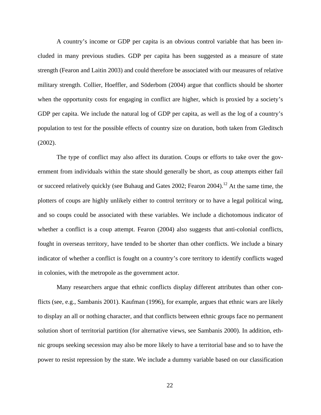A country's income or GDP per capita is an obvious control variable that has been included in many previous studies. GDP per capita has been suggested as a measure of state strength (Fearon and Laitin 2003) and could therefore be associated with our measures of relative military strength. Collier, Hoeffler, and Söderbom (2004) argue that conflicts should be shorter when the opportunity costs for engaging in conflict are higher, which is proxied by a society's GDP per capita. We include the natural log of GDP per capita, as well as the log of a country's population to test for the possible effects of country size on duration, both taken from Gleditsch (2002).

The type of conflict may also affect its duration. Coups or efforts to take over the government from individuals within the state should generally be short, as coup attempts either fail or succeed relatively quickly (see Buhaug and Gates 2002; Fearon 2004).<sup>12</sup> At the same time, the plotters of coups are highly unlikely either to control territory or to have a legal political wing, and so coups could be associated with these variables. We include a dichotomous indicator of whether a conflict is a coup attempt. Fearon (2004) also suggests that anti-colonial conflicts, fought in overseas territory, have tended to be shorter than other conflicts. We include a binary indicator of whether a conflict is fought on a country's core territory to identify conflicts waged in colonies, with the metropole as the government actor.

Many researchers argue that ethnic conflicts display different attributes than other conflicts (see, e.g., Sambanis 2001). Kaufman (1996), for example, argues that ethnic wars are likely to display an all or nothing character, and that conflicts between ethnic groups face no permanent solution short of territorial partition (for alternative views, see Sambanis 2000). In addition, ethnic groups seeking secession may also be more likely to have a territorial base and so to have the power to resist repression by the state. We include a dummy variable based on our classification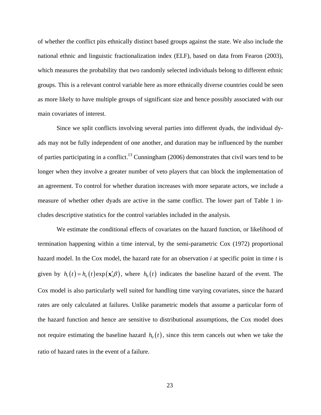of whether the conflict pits ethnically distinct based groups against the state. We also include the national ethnic and linguistic fractionalization index (ELF), based on data from Fearon (2003), which measures the probability that two randomly selected individuals belong to different ethnic groups. This is a relevant control variable here as more ethnically diverse countries could be seen as more likely to have multiple groups of significant size and hence possibly associated with our main covariates of interest.

Since we split conflicts involving several parties into different dyads, the individual dyads may not be fully independent of one another, and duration may be influenced by the number of parties participating in a conflict.<sup>13</sup> Cunningham (2006) demonstrates that civil wars tend to be longer when they involve a greater number of veto players that can block the implementation of an agreement. To control for whether duration increases with more separate actors, we include a measure of whether other dyads are active in the same conflict. The lower part of Table 1 includes descriptive statistics for the control variables included in the analysis.

We estimate the conditional effects of covariates on the hazard function, or likelihood of termination happening within a time interval, by the semi-parametric Cox (1972) proportional hazard model. In the Cox model, the hazard rate for an observation *i* at specific point in time *t* is given by  $h_i(t) = h_0(t) \exp(\mathbf{x}_i^t \beta)$ , where  $h_0(t)$  indicates the baseline hazard of the event. The Cox model is also particularly well suited for handling time varying covariates, since the hazard rates are only calculated at failures. Unlike parametric models that assume a particular form of the hazard function and hence are sensitive to distributional assumptions, the Cox model does not require estimating the baseline hazard  $h_0(t)$ , since this term cancels out when we take the ratio of hazard rates in the event of a failure.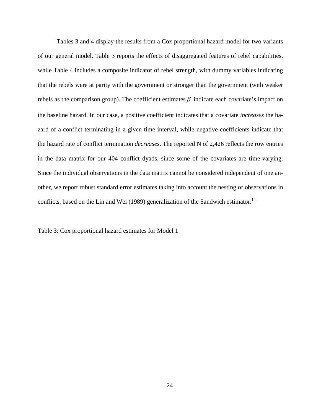Tables 3 and 4 display the results from a Cox proportional hazard model for two variants of our general model. Table 3 reports the effects of disaggregated features of rebel capabilities, while Table 4 includes a composite indicator of rebel strength, with dummy variables indicating that the rebels were at parity with the government or stronger than the government (with weaker rebels as the comparison group). The coefficient estimates  $\beta$  indicate each covariate's impact on the baseline hazard. In our case, a positive coefficient indicates that a covariate *increases* the hazard of a conflict terminating in a given time interval, while negative coefficients indicate that the hazard rate of conflict termination *decreases*. The reported N of 2,426 reflects the row entries in the data matrix for our 404 conflict dyads, since some of the covariates are time-varying. Since the individual observations in the data matrix cannot be considered independent of one another, we report robust standard error estimates taking into account the nesting of observations in conflicts, based on the Lin and Wei (1989) generalization of the Sandwich estimator.<sup>14</sup>

Table 3: Cox proportional hazard estimates for Model 1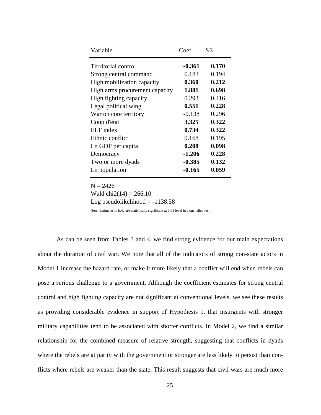| Variable                       | Coef     | <b>SE</b> |
|--------------------------------|----------|-----------|
| <b>Territorial control</b>     | $-0.361$ | 0.170     |
| Strong central command         | 0.183    | 0.194     |
| High mobilization capacity     | 0.360    | 0.212     |
| High arms procurement capacity | 1.881    | 0.698     |
| High fighting capacity         | 0.293    | 0.416     |
| Legal political wing           | 0.551    | 0.228     |
| War on core territory          | $-0.138$ | 0.296     |
| Coup d'etat                    | 3.325    | 0.322     |
| ELF index                      | 0.734    | 0.322     |
| Ethnic conflict                | 0.168    | 0.195     |
| Ln GDP per capita              | 0.208    | 0.098     |
| Democracy                      | $-1.206$ | 0.228     |
| Two or more dyads              | $-0.385$ | 0.132     |
| Ln population                  | $-0.165$ | 0.059     |
| $N = 2426$                     |          |           |
| Wald $chi2(14) = 266.10$       |          |           |

Log pseudolikelihood  $= -1138.58$ 

Note: Estimates in bold are statistically significant at 0.05 level in a one tailed test

As can be seen from Tables 3 and 4, we find strong evidence for our main expectations about the duration of civil war. We note that all of the indicators of strong non-state actors in Model 1 increase the hazard rate, or make it more likely that a conflict will end when rebels can pose a serious challenge to a government. Although the coefficient estimates for strong central control and high fighting capacity are not significant at conventional levels, we see these results as providing considerable evidence in support of Hypothesis 1, that insurgents with stronger military capabilities tend to be associated with shorter conflicts. In Model 2, we find a similar relationship for the combined measure of relative strength, suggesting that conflicts in dyads where the rebels are at parity with the government or stronger are less likely to persist than conflicts where rebels are weaker than the state. This result suggests that civil wars are much more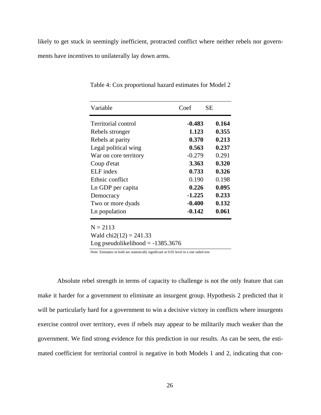likely to get stuck in seemingly inefficient, protracted conflict where neither rebels nor governments have incentives to unilaterally lay down arms.

| $-0.483$<br>1.123<br>0.370<br>0.563<br>$-0.279$<br>3.363 | 0.164<br>0.355<br>0.213<br>0.237<br>0.291<br>0.320 |
|----------------------------------------------------------|----------------------------------------------------|
|                                                          |                                                    |
|                                                          |                                                    |
|                                                          |                                                    |
|                                                          |                                                    |
|                                                          |                                                    |
|                                                          |                                                    |
| 0.733                                                    | 0.326                                              |
| 0.190                                                    | 0.198                                              |
| 0.226                                                    | 0.095                                              |
|                                                          | 0.233                                              |
|                                                          | 0.132                                              |
|                                                          | 0.061                                              |
|                                                          | $-1.225$<br>$-0.400$<br>$-0.142$                   |

Table 4: Cox proportional hazard estimates for Model 2

Note: Estimates in bold are statistically significant at 0.05 level in a one tailed test

Log pseudolikelihood  $= -1385.3676$ 

Absolute rebel strength in terms of capacity to challenge is not the only feature that can make it harder for a government to eliminate an insurgent group. Hypothesis 2 predicted that it will be particularly hard for a government to win a decisive victory in conflicts where insurgents exercise control over territory, even if rebels may appear to be militarily much weaker than the government. We find strong evidence for this prediction in our results. As can be seen, the estimated coefficient for territorial control is negative in both Models 1 and 2, indicating that con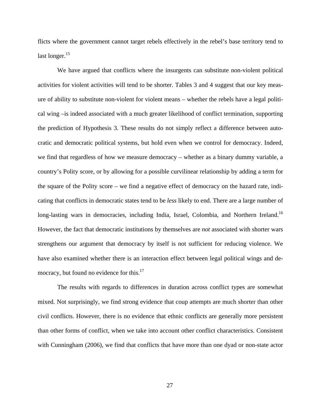flicts where the government cannot target rebels effectively in the rebel's base territory tend to last longer.<sup>15</sup>

We have argued that conflicts where the insurgents can substitute non-violent political activities for violent activities will tend to be shorter. Tables 3 and 4 suggest that our key measure of ability to substitute non-violent for violent means – whether the rebels have a legal political wing –is indeed associated with a much greater likelihood of conflict termination, supporting the prediction of Hypothesis 3. These results do not simply reflect a difference between autocratic and democratic political systems, but hold even when we control for democracy. Indeed, we find that regardless of how we measure democracy – whether as a binary dummy variable, a country's Polity score, or by allowing for a possible curvilinear relationship by adding a term for the square of the Polity score – we find a negative effect of democracy on the hazard rate, indicating that conflicts in democratic states tend to be *less* likely to end. There are a large number of long-lasting wars in democracies, including India, Israel, Colombia, and Northern Ireland.<sup>16</sup> However, the fact that democratic institutions by themselves are *not* associated with shorter wars strengthens our argument that democracy by itself is not sufficient for reducing violence. We have also examined whether there is an interaction effect between legal political wings and democracy, but found no evidence for this.<sup>17</sup>

The results with regards to differences in duration across conflict types are somewhat mixed. Not surprisingly, we find strong evidence that coup attempts are much shorter than other civil conflicts. However, there is no evidence that ethnic conflicts are generally more persistent than other forms of conflict, when we take into account other conflict characteristics. Consistent with Cunningham (2006), we find that conflicts that have more than one dyad or non-state actor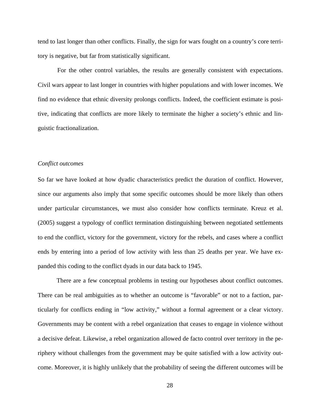tend to last longer than other conflicts. Finally, the sign for wars fought on a country's core territory is negative, but far from statistically significant.

For the other control variables, the results are generally consistent with expectations. Civil wars appear to last longer in countries with higher populations and with lower incomes. We find no evidence that ethnic diversity prolongs conflicts. Indeed, the coefficient estimate is positive, indicating that conflicts are more likely to terminate the higher a society's ethnic and linguistic fractionalization.

#### *Conflict outcomes*

So far we have looked at how dyadic characteristics predict the duration of conflict. However, since our arguments also imply that some specific outcomes should be more likely than others under particular circumstances, we must also consider how conflicts terminate. Kreuz et al. (2005) suggest a typology of conflict termination distinguishing between negotiated settlements to end the conflict, victory for the government, victory for the rebels, and cases where a conflict ends by entering into a period of low activity with less than 25 deaths per year. We have expanded this coding to the conflict dyads in our data back to 1945.

There are a few conceptual problems in testing our hypotheses about conflict outcomes. There can be real ambiguities as to whether an outcome is "favorable" or not to a faction, particularly for conflicts ending in "low activity," without a formal agreement or a clear victory. Governments may be content with a rebel organization that ceases to engage in violence without a decisive defeat. Likewise, a rebel organization allowed de facto control over territory in the periphery without challenges from the government may be quite satisfied with a low activity outcome. Moreover, it is highly unlikely that the probability of seeing the different outcomes will be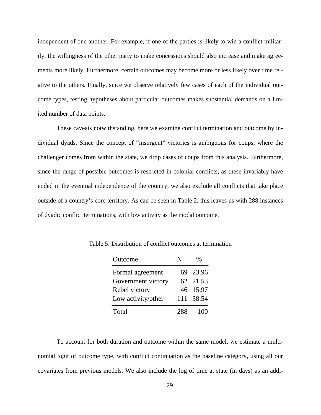independent of one another. For example, if one of the parties is likely to win a conflict militarily, the willingness of the other party to make concessions should also increase and make agreements more likely. Furthermore, certain outcomes may become more or less likely over time relative to the others. Finally, since we observe relatively few cases of each of the individual outcome types, testing hypotheses about particular outcomes makes substantial demands on a limited number of data points.

These caveats notwithstanding, here we examine conflict termination and outcome by individual dyads. Since the concept of "insurgent" victories is ambiguous for coups, where the challenger comes from within the state, we drop cases of coups from this analysis. Furthermore, since the range of possible outcomes is restricted in colonial conflicts, as these invariably have ended in the eventual independence of the country, we also exclude all conflicts that take place outside of a country's core territory. As can be seen in Table 2, this leaves us with 288 instances of dyadic conflict terminations, with low activity as the modal outcome.

| Outcome            | N   |           |
|--------------------|-----|-----------|
| Formal agreement   |     | 69 23.96  |
| Government victory |     | 62 21.53  |
| Rebel victory      |     | 46 15.97  |
| Low activity/other |     | 111 38.54 |
| Total              | 288 | 100       |

Table 5: Distribution of conflict outcomes at termination

To account for both duration and outcome within the same model, we estimate a multinomial logit of outcome type, with conflict continuation as the baseline category, using all our covariates from previous models. We also include the log of time at state (in days) as an addi-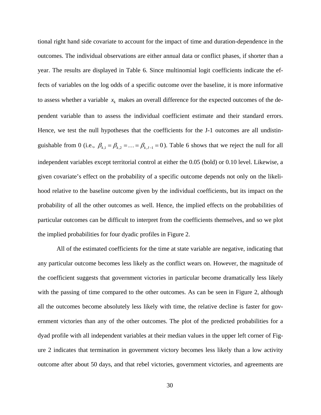tional right hand side covariate to account for the impact of time and duration-dependence in the outcomes. The individual observations are either annual data or conflict phases, if shorter than a year. The results are displayed in Table 6. Since multinomial logit coefficients indicate the effects of variables on the log odds of a specific outcome over the baseline, it is more informative to assess whether a variable  $x_k$  makes an overall difference for the expected outcomes of the dependent variable than to assess the individual coefficient estimate and their standard errors. Hence, we test the null hypotheses that the coefficients for the J-1 outcomes are all undistinguishable from 0 (i.e.,  $\beta_{k,1} = \beta_{k,2} = ... = \beta_{k,J-1} = 0$ ). Table 6 shows that we reject the null for all independent variables except territorial control at either the 0.05 (bold) or 0.10 level. Likewise, a given covariate's effect on the probability of a specific outcome depends not only on the likelihood relative to the baseline outcome given by the individual coefficients, but its impact on the probability of all the other outcomes as well. Hence, the implied effects on the probabilities of particular outcomes can be difficult to interpret from the coefficients themselves, and so we plot the implied probabilities for four dyadic profiles in Figure 2.

All of the estimated coefficients for the time at state variable are negative, indicating that any particular outcome becomes less likely as the conflict wears on. However, the magnitude of the coefficient suggests that government victories in particular become dramatically less likely with the passing of time compared to the other outcomes. As can be seen in Figure 2, although all the outcomes become absolutely less likely with time, the relative decline is faster for government victories than any of the other outcomes. The plot of the predicted probabilities for a dyad profile with all independent variables at their median values in the upper left corner of Figure 2 indicates that termination in government victory becomes less likely than a low activity outcome after about 50 days, and that rebel victories, government victories, and agreements are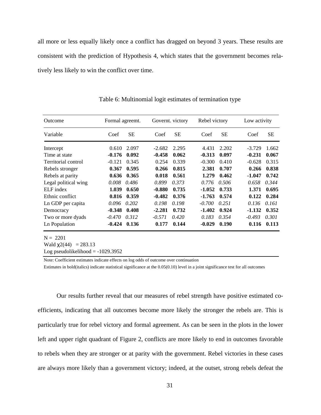all more or less equally likely once a conflict has dragged on beyond 3 years. These results are consistent with the prediction of Hypothesis 4, which states that the government becomes relatively less likely to win the conflict over time.

| Outcome              | Formal agreemt. |           |          | Governt. victory |          | Rebel victory |          | Low activity |  |
|----------------------|-----------------|-----------|----------|------------------|----------|---------------|----------|--------------|--|
| Variable             | Coef            | <b>SE</b> | Coef     | <b>SE</b>        | Coef     | <b>SE</b>     | Coef     | <b>SE</b>    |  |
| Intercept            | 0.610           | 2.097     | $-2.682$ | 2.295            | 4.431    | 2.202         | $-3.729$ | 1.662        |  |
| Time at state        | $-0.176$        | 0.092     | $-0.458$ | 0.062            | $-0.313$ | 0.097         | $-0.231$ | 0.067        |  |
| Territorial control  | $-0.121$        | 0.345     | 0.254    | 0.339            | $-0.300$ | 0.410         | $-0.628$ | 0.315        |  |
| Rebels stronger      | 0.367           | 0.595     | 0.266    | 0.815            | 2.381    | 0.707         | 0.266    | 0.838        |  |
| Rebels at parity     | 0.636           | 0.365     | 0.018    | 0.561            | 1.279    | 0.462         | $-1.047$ | 0.742        |  |
| Legal political wing | 0.008           | 0.486     | 0.899    | 0.373            | 0.776    | 0.506         | 0.658    | 0.344        |  |
| ELF index            | 1.039           | 0.650     | $-0.880$ | 0.735            | $-1.052$ | 0.733         | 1.371    | 0.695        |  |
| Ethnic conflict      | 0.816           | 0.359     | $-0.482$ | 0.376            | $-1.763$ | 0.574         | 0.122    | 0.284        |  |
| Ln GDP per capita    | 0.096           | 0.202     | 0.198    | 0.198            | $-0.700$ | 0.251         | 0.136    | 0.161        |  |
| Democracy            | $-0.348$        | 0.408     | $-2.281$ | 0.732            | $-1.402$ | 0.924         | $-1.132$ | 0.352        |  |
| Two or more dyads    | $-0.470$        | 0.312     | $-0.571$ | 0.420            | 0.183    | 0.354         | $-0.493$ | 0.301        |  |
| Ln Population        | $-0.424$        | 0.136     | 0.177    | 0.144            | $-0.029$ | 0.190         | 0.116    | 0.113        |  |

Table 6: Multinomial logit estimates of termination type

 $N = 2201$ 

Wald  $\chi$ 2(44) = 283.13

Log pseudolikelihood  $= -1029.3952$ 

Note: Coefficient estimates indicate effects on log odds of outcome over continuation

Estimates in bold(italics) indicate statistical significance at the 0.05(0.10) level in a joint significance test for all outcomes

Our results further reveal that our measures of rebel strength have positive estimated coefficients, indicating that all outcomes become more likely the stronger the rebels are. This is particularly true for rebel victory and formal agreement. As can be seen in the plots in the lower left and upper right quadrant of Figure 2, conflicts are more likely to end in outcomes favorable to rebels when they are stronger or at parity with the government. Rebel victories in these cases are always more likely than a government victory; indeed, at the outset, strong rebels defeat the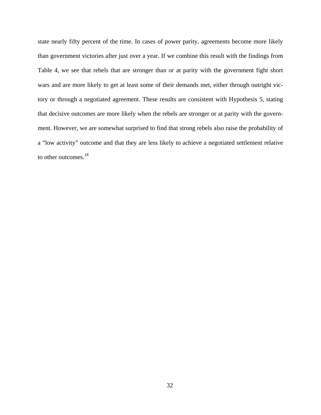state nearly fifty percent of the time. In cases of power parity, agreements become more likely than government victories after just over a year. If we combine this result with the findings from Table 4, we see that rebels that are stronger than or at parity with the government fight short wars and are more likely to get at least some of their demands met, either through outright victory or through a negotiated agreement. These results are consistent with Hypothesis 5, stating that decisive outcomes are more likely when the rebels are stronger or at parity with the government. However, we are somewhat surprised to find that strong rebels also raise the probability of a "low activity" outcome and that they are less likely to achieve a negotiated settlement relative to other outcomes.<sup>18</sup>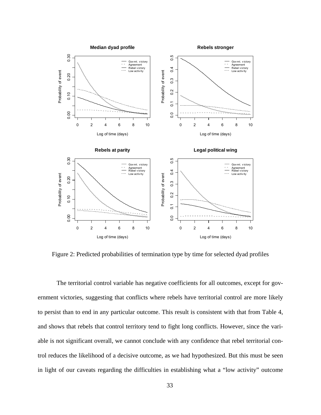

Figure 2: Predicted probabilities of termination type by time for selected dyad profiles

The territorial control variable has negative coefficients for all outcomes, except for government victories, suggesting that conflicts where rebels have territorial control are more likely to persist than to end in any particular outcome. This result is consistent with that from Table 4, and shows that rebels that control territory tend to fight long conflicts. However, since the variable is not significant overall, we cannot conclude with any confidence that rebel territorial control reduces the likelihood of a decisive outcome, as we had hypothesized. But this must be seen in light of our caveats regarding the difficulties in establishing what a "low activity" outcome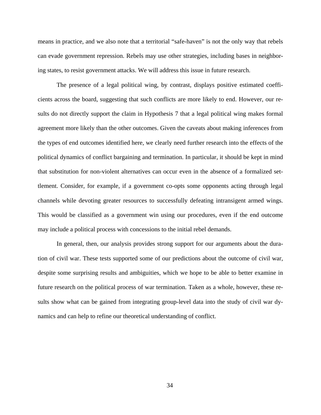means in practice, and we also note that a territorial "safe-haven" is not the only way that rebels can evade government repression. Rebels may use other strategies, including bases in neighboring states, to resist government attacks. We will address this issue in future research.

The presence of a legal political wing, by contrast, displays positive estimated coefficients across the board, suggesting that such conflicts are more likely to end. However, our results do not directly support the claim in Hypothesis 7 that a legal political wing makes formal agreement more likely than the other outcomes. Given the caveats about making inferences from the types of end outcomes identified here, we clearly need further research into the effects of the political dynamics of conflict bargaining and termination. In particular, it should be kept in mind that substitution for non-violent alternatives can occur even in the absence of a formalized settlement. Consider, for example, if a government co-opts some opponents acting through legal channels while devoting greater resources to successfully defeating intransigent armed wings. This would be classified as a government win using our procedures, even if the end outcome may include a political process with concessions to the initial rebel demands.

In general, then, our analysis provides strong support for our arguments about the duration of civil war. These tests supported some of our predictions about the outcome of civil war, despite some surprising results and ambiguities, which we hope to be able to better examine in future research on the political process of war termination. Taken as a whole, however, these results show what can be gained from integrating group-level data into the study of civil war dynamics and can help to refine our theoretical understanding of conflict.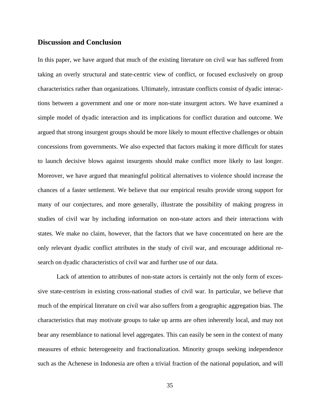#### **Discussion and Conclusion**

In this paper, we have argued that much of the existing literature on civil war has suffered from taking an overly structural and state-centric view of conflict, or focused exclusively on group characteristics rather than organizations. Ultimately, intrastate conflicts consist of dyadic interactions between a government and one or more non-state insurgent actors. We have examined a simple model of dyadic interaction and its implications for conflict duration and outcome. We argued that strong insurgent groups should be more likely to mount effective challenges or obtain concessions from governments. We also expected that factors making it more difficult for states to launch decisive blows against insurgents should make conflict more likely to last longer. Moreover, we have argued that meaningful political alternatives to violence should increase the chances of a faster settlement. We believe that our empirical results provide strong support for many of our conjectures, and more generally, illustrate the possibility of making progress in studies of civil war by including information on non-state actors and their interactions with states. We make no claim, however, that the factors that we have concentrated on here are the only relevant dyadic conflict attributes in the study of civil war, and encourage additional research on dyadic characteristics of civil war and further use of our data.

Lack of attention to attributes of non-state actors is certainly not the only form of excessive state-centrism in existing cross-national studies of civil war. In particular, we believe that much of the empirical literature on civil war also suffers from a geographic aggregation bias. The characteristics that may motivate groups to take up arms are often inherently local, and may not bear any resemblance to national level aggregates. This can easily be seen in the context of many measures of ethnic heterogeneity and fractionalization. Minority groups seeking independence such as the Achenese in Indonesia are often a trivial fraction of the national population, and will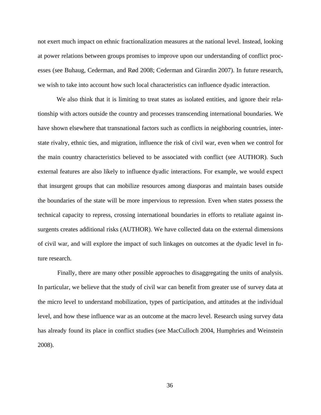not exert much impact on ethnic fractionalization measures at the national level. Instead, looking at power relations between groups promises to improve upon our understanding of conflict processes (see Buhaug, Cederman, and Rød 2008; Cederman and Girardin 2007). In future research, we wish to take into account how such local characteristics can influence dyadic interaction.

We also think that it is limiting to treat states as isolated entities, and ignore their relationship with actors outside the country and processes transcending international boundaries. We have shown elsewhere that transnational factors such as conflicts in neighboring countries, interstate rivalry, ethnic ties, and migration, influence the risk of civil war, even when we control for the main country characteristics believed to be associated with conflict (see AUTHOR). Such external features are also likely to influence dyadic interactions. For example, we would expect that insurgent groups that can mobilize resources among diasporas and maintain bases outside the boundaries of the state will be more impervious to repression. Even when states possess the technical capacity to repress, crossing international boundaries in efforts to retaliate against insurgents creates additional risks (AUTHOR). We have collected data on the external dimensions of civil war, and will explore the impact of such linkages on outcomes at the dyadic level in future research.

Finally, there are many other possible approaches to disaggregating the units of analysis. In particular, we believe that the study of civil war can benefit from greater use of survey data at the micro level to understand mobilization, types of participation, and attitudes at the individual level, and how these influence war as an outcome at the macro level. Research using survey data has already found its place in conflict studies (see MacCulloch 2004, Humphries and Weinstein 2008).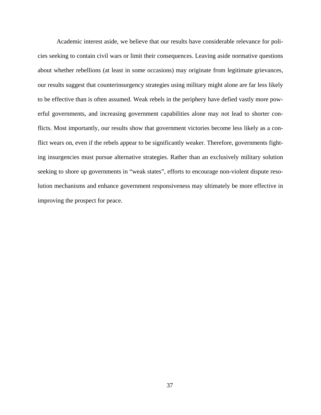Academic interest aside, we believe that our results have considerable relevance for policies seeking to contain civil wars or limit their consequences. Leaving aside normative questions about whether rebellions (at least in some occasions) may originate from legitimate grievances, our results suggest that counterinsurgency strategies using military might alone are far less likely to be effective than is often assumed. Weak rebels in the periphery have defied vastly more powerful governments, and increasing government capabilities alone may not lead to shorter conflicts. Most importantly, our results show that government victories become less likely as a conflict wears on, even if the rebels appear to be significantly weaker. Therefore, governments fighting insurgencies must pursue alternative strategies. Rather than an exclusively military solution seeking to shore up governments in "weak states", efforts to encourage non-violent dispute resolution mechanisms and enhance government responsiveness may ultimately be more effective in improving the prospect for peace.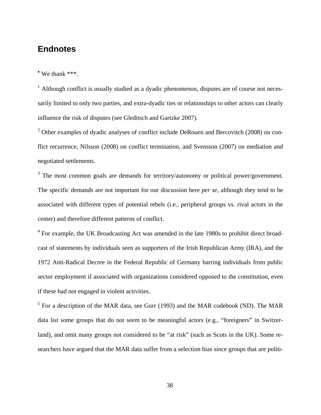## **Endnotes**

• We thank \*\*\*.

 $<sup>1</sup>$  Although conflict is usually studied as a dyadic phenomenon, disputes are of course not neces-</sup> sarily limited to only two parties, and extra-dyadic ties or relationships to other actors can clearly influence the risk of disputes (see Gleditsch and Gartzke 2007).

 $2$  Other examples of dyadic analyses of conflict include DeRouen and Bercovitch (2008) on conflict recurrence, Nilsson (2008) on conflict termination, and Svensson (2007) on mediation and negotiated settlements.

 $3$  The most common goals are demands for territory/autonomy or political power/government. The specific demands are not important for our discussion here *per se*, although they tend to be associated with different types of potential rebels (i.e., peripheral groups vs. rival actors in the center) and therefore different patterns of conflict.

<sup>4</sup> For example, the UK Broadcasting Act was amended in the late 1980s to prohibit direct broadcast of statements by individuals seen as supporters of the Irish Republican Army (IRA), and the 1972 Anti-Radical Decree in the Federal Republic of Germany barring individuals from public sector employment if associated with organizations considered opposed to the constitution, even if these had not engaged in violent activities.

 $<sup>5</sup>$  For a description of the MAR data, see Gurr (1993) and the MAR codebook (ND). The MAR</sup> data list some groups that do not seem to be meaningful actors (e.g., "foreigners" in Switzerland), and omit many groups not considered to be "at risk" (such as Scots in the UK). Some researchers have argued that the MAR data suffer from a selection bias since groups that are politi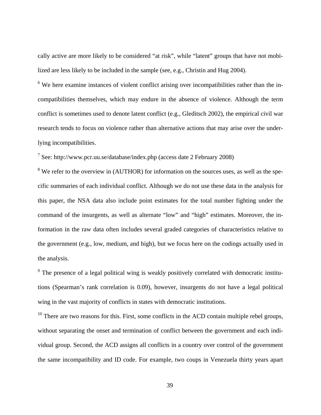cally active are more likely to be considered "at risk", while "latent" groups that have not mobilized are less likely to be included in the sample (see, e.g., Christin and Hug 2004).

<sup>6</sup> We here examine instances of violent conflict arising over incompatibilities rather than the incompatibilities themselves, which may endure in the absence of violence. Although the term conflict is sometimes used to denote latent conflict (e.g., Gleditsch 2002), the empirical civil war research tends to focus on violence rather than alternative actions that may arise over the underlying incompatibilities.

<sup>7</sup> See: http://www.pcr.uu.se/database/index.php (access date 2 February 2008)

 $8$  We refer to the overview in (AUTHOR) for information on the sources uses, as well as the specific summaries of each individual conflict. Although we do not use these data in the analysis for this paper, the NSA data also include point estimates for the total number fighting under the command of the insurgents, as well as alternate "low" and "high" estimates. Moreover, the information in the raw data often includes several graded categories of characteristics relative to the government (e.g., low, medium, and high), but we focus here on the codings actually used in the analysis.

<sup>9</sup> The presence of a legal political wing is weakly positively correlated with democratic institutions (Spearman's rank correlation is 0.09), however, insurgents do not have a legal political wing in the vast majority of conflicts in states with democratic institutions.

 $10$  There are two reasons for this. First, some conflicts in the ACD contain multiple rebel groups, without separating the onset and termination of conflict between the government and each individual group. Second, the ACD assigns all conflicts in a country over control of the government the same incompatibility and ID code. For example, two coups in Venezuela thirty years apart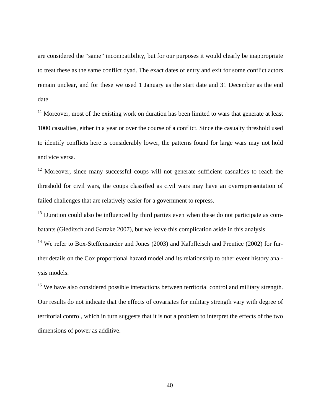are considered the "same" incompatibility, but for our purposes it would clearly be inappropriate to treat these as the same conflict dyad. The exact dates of entry and exit for some conflict actors remain unclear, and for these we used 1 January as the start date and 31 December as the end date.

 $11$  Moreover, most of the existing work on duration has been limited to wars that generate at least 1000 casualties, either in a year or over the course of a conflict. Since the casualty threshold used to identify conflicts here is considerably lower, the patterns found for large wars may not hold and vice versa.

 $12$  Moreover, since many successful coups will not generate sufficient casualties to reach the threshold for civil wars, the coups classified as civil wars may have an overrepresentation of failed challenges that are relatively easier for a government to repress.

 $13$  Duration could also be influenced by third parties even when these do not participate as combatants (Gleditsch and Gartzke 2007), but we leave this complication aside in this analysis.

<sup>14</sup> We refer to Box-Steffensmeier and Jones (2003) and Kalbfleisch and Prentice (2002) for further details on the Cox proportional hazard model and its relationship to other event history analysis models.

<sup>15</sup> We have also considered possible interactions between territorial control and military strength. Our results do not indicate that the effects of covariates for military strength vary with degree of territorial control, which in turn suggests that it is not a problem to interpret the effects of the two dimensions of power as additive.

40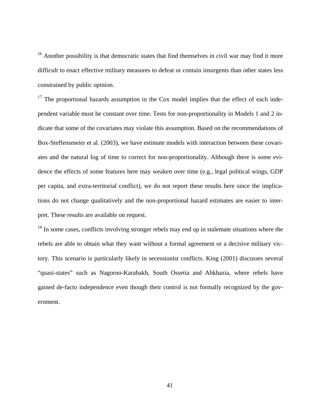$16$  Another possibility is that democratic states that find themselves in civil war may find it more difficult to enact effective military measures to defeat or contain insurgents than other states less constrained by public opinion.

 $17$  The proportional hazards assumption in the Cox model implies that the effect of each independent variable must be constant over time. Tests for non-proportionality in Models 1 and 2 indicate that some of the covariates may violate this assumption. Based on the recommendations of Box-Steffensmeier et al. (2003), we have estimate models with interaction between these covariates and the natural log of time to correct for non-proportionality. Although there is some evidence the effects of some features here may weaken over time (e.g., legal political wings, GDP per capita, and extra-territorial conflict), we do not report these results here since the implications do not change qualitatively and the non-proportional hazard estimates are easier to interpret. These results are available on request.

<sup>18</sup> In some cases, conflicts involving stronger rebels may end up in stalemate situations where the rebels are able to obtain what they want without a formal agreement or a decisive military victory. This scenario is particularly likely in secessionist conflicts. King (2001) discusses several "quasi-states" such as Nagorno-Karabakh, South Ossetia and Abkhazia, where rebels have gained de-facto independence even though their control is not formally recognized by the government.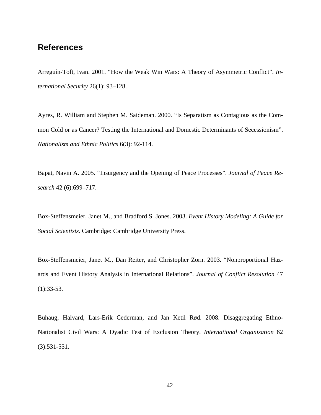## **References**

Arreguín-Toft, Ivan. 2001. "How the Weak Win Wars: A Theory of Asymmetric Conflict". *International Security* 26(1): 93–128.

Ayres, R. William and Stephen M. Saideman. 2000. "Is Separatism as Contagious as the Common Cold or as Cancer? Testing the International and Domestic Determinants of Secessionism". *Nationalism and Ethnic Politics* 6(3): 92-114.

Bapat, Navin A. 2005. "Insurgency and the Opening of Peace Processes". *Journal of Peace Research* 42 (6):699–717.

Box-Steffensmeier, Janet M., and Bradford S. Jones. 2003. *Event History Modeling: A Guide for Social Scientists.* Cambridge: Cambridge University Press.

Box-Steffensmeier, Janet M., Dan Reiter, and Christopher Zorn. 2003. "Nonproportional Hazards and Event History Analysis in International Relations". *Journal of Conflict Resolution* 47  $(1):33-53.$ 

Buhaug, Halvard, Lars-Erik Cederman, and Jan Ketil Rød. 2008. Disaggregating Ethno-Nationalist Civil Wars: A Dyadic Test of Exclusion Theory. *International Organization* 62 (3):531-551.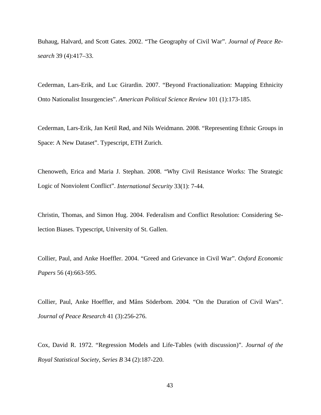Buhaug, Halvard, and Scott Gates. 2002. "The Geography of Civil War". *Journal of Peace Research* 39 (4):417–33.

Cederman, Lars-Erik, and Luc Girardin. 2007. "Beyond Fractionalization: Mapping Ethnicity Onto Nationalist Insurgencies". *American Political Science Review* 101 (1):173-185.

Cederman, Lars-Erik, Jan Ketil Rød, and Nils Weidmann. 2008. "Representing Ethnic Groups in Space: A New Dataset". Typescript, ETH Zurich.

Chenoweth, Erica and Maria J. Stephan. 2008. "Why Civil Resistance Works: The Strategic Logic of Nonviolent Conflict". *International Security* 33(1): 7-44.

Christin, Thomas, and Simon Hug. 2004. Federalism and Conflict Resolution: Considering Selection Biases. Typescript, University of St. Gallen.

Collier, Paul, and Anke Hoeffler. 2004. "Greed and Grievance in Civil War". *Oxford Economic Papers* 56 (4):663-595.

Collier, Paul, Anke Hoeffler, and Måns Söderbom. 2004. "On the Duration of Civil Wars". *Journal of Peace Research* 41 (3):256-276.

Cox, David R. 1972. "Regression Models and Life-Tables (with discussion)". *Journal of the Royal Statistical Society, Series B* 34 (2):187-220.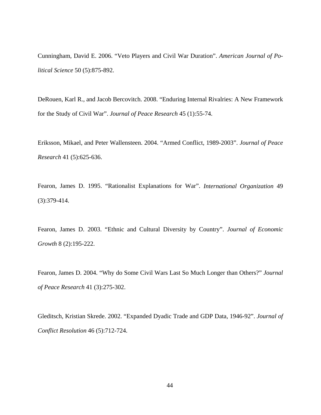Cunningham, David E. 2006. "Veto Players and Civil War Duration". *American Journal of Political Science* 50 (5):875-892.

DeRouen, Karl R., and Jacob Bercovitch. 2008. "Enduring Internal Rivalries: A New Framework for the Study of Civil War". *Journal of Peace Research* 45 (1):55-74.

Eriksson, Mikael, and Peter Wallensteen. 2004. "Armed Conflict, 1989-2003". *Journal of Peace Research* 41 (5):625-636.

Fearon, James D. 1995. "Rationalist Explanations for War". *International Organization* 49 (3):379-414.

Fearon, James D. 2003. "Ethnic and Cultural Diversity by Country". *Journal of Economic Growth* 8 (2):195-222.

Fearon, James D. 2004. "Why do Some Civil Wars Last So Much Longer than Others?" *Journal of Peace Research* 41 (3):275-302.

Gleditsch, Kristian Skrede. 2002. "Expanded Dyadic Trade and GDP Data, 1946-92". *Journal of Conflict Resolution* 46 (5):712-724.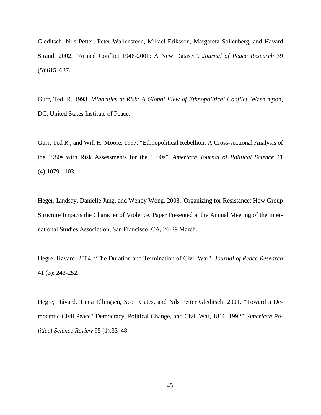Gleditsch, Nils Petter, Peter Wallensteen, Mikael Eriksson, Margareta Sollenberg, and Håvard Strand. 2002. "Armed Conflict 1946-2001: A New Dataset". *Journal of Peace Research* 39  $(5):615-637.$ 

Gurr, Ted. R. 1993. *Minorities at Risk: A Global View of Ethnopolitical Conflict.* Washington, DC: United States Institute of Peace.

Gurr, Ted R., and Will H. Moore. 1997. "Ethnopolitical Rebellion: A Cross-sectional Analysis of the 1980s with Risk Assessments for the 1990s". *American Journal of Political Science* 41 (4):1079-1103.

Heger, Lindsay, Danielle Jung, and Wendy Wong. 2008. 'Organizing for Resistance: How Group Structure Impacts the Character of Violence. Paper Presented at the Annual Meeting of the International Studies Association, San Francisco, CA, 26-29 March.

Hegre, Håvard. 2004. "The Duration and Termination of Civil War". *Journal of Peace Research* 41 (3): 243-252.

Hegre, Håvard, Tanja Ellingsen, Scott Gates, and Nils Petter Gleditsch. 2001. "Toward a Democratic Civil Peace? Democracy, Political Change, and Civil War, 1816–1992". *American Political Science Review* 95 (1):33–48.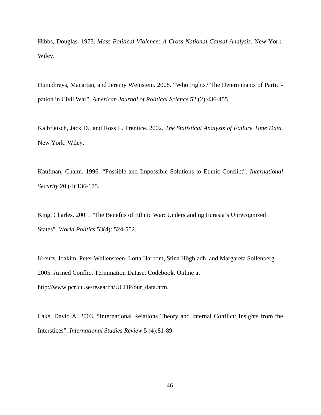Hibbs, Douglas. 1973. *Mass Political Violence: A Cross-National Causal Analysis.* New York: Wiley.

Humphreys, Macartan, and Jeremy Weinstein. 2008. "Who Fights? The Determinants of Participation in Civil War". *American Journal of Political Science* 52 (2):436-455.

Kalbfleisch, Jack D., and Ross L. Prentice. 2002. *The Statistical Analysis of Failure Time Data.* New York: Wiley.

Kaufman, Chaim. 1996. "Possible and Impossible Solutions to Ethnic Conflict". *International Security* 20 (4):136-175.

King, Charles. 2001. "The Benefits of Ethnic War: Understanding Eurasia's Unrecognized States". *World Politics* 53(4): 524-552.

Kreutz, Joakim, Peter Wallensteen, Lotta Harbom, Stina Högbladh, and Margareta Sollenberg. 2005. Armed Conflict Termination Dataset Codebook. Online at http://www.pcr.uu.se/research/UCDP/our\_data.htm.

Lake, David A. 2003. "International Relations Theory and Internal Conflict: Insights from the Interstices". *International Studies Review* 5 (4):81-89.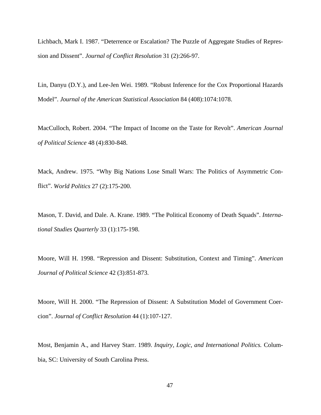Lichbach, Mark I. 1987. "Deterrence or Escalation? The Puzzle of Aggregate Studies of Repression and Dissent". *Journal of Conflict Resolution* 31 (2):266-97.

Lin, Danyu (D.Y.), and Lee-Jen Wei. 1989. "Robust Inference for the Cox Proportional Hazards Model". *Journal of the American Statistical Association* 84 (408):1074:1078.

MacCulloch, Robert. 2004. "The Impact of Income on the Taste for Revolt". *American Journal of Political Science* 48 (4):830-848.

Mack, Andrew. 1975. "Why Big Nations Lose Small Wars: The Politics of Asymmetric Conflict". *World Politics* 27 (2):175-200.

Mason, T. David, and Dale. A. Krane. 1989. "The Political Economy of Death Squads". *International Studies Quarterly* 33 (1):175-198.

Moore, Will H. 1998. "Repression and Dissent: Substitution, Context and Timing". *American Journal of Political Science* 42 (3):851-873.

Moore, Will H. 2000. "The Repression of Dissent: A Substitution Model of Government Coercion". *Journal of Conflict Resolution* 44 (1):107-127.

Most, Benjamin A., and Harvey Starr. 1989. *Inquiry, Logic, and International Politics.* Columbia, SC: University of South Carolina Press.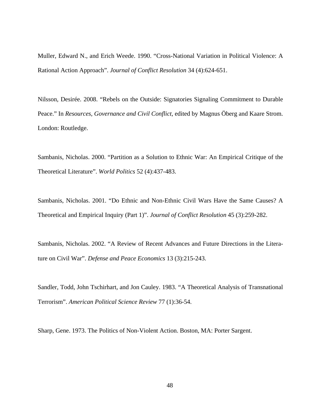Muller, Edward N., and Erich Weede. 1990. "Cross-National Variation in Political Violence: A Rational Action Approach". *Journal of Conflict Resolution* 34 (4):624-651.

Nilsson, Desirée. 2008. "Rebels on the Outside: Signatories Signaling Commitment to Durable Peace." In *Resources, Governance and Civil Conflict*, edited by Magnus Öberg and Kaare Strom. London: Routledge.

Sambanis, Nicholas. 2000. "Partition as a Solution to Ethnic War: An Empirical Critique of the Theoretical Literature". *World Politics* 52 (4):437-483.

Sambanis, Nicholas. 2001. "Do Ethnic and Non-Ethnic Civil Wars Have the Same Causes? A Theoretical and Empirical Inquiry (Part 1)". *Journal of Conflict Resolution* 45 (3):259-282.

Sambanis, Nicholas. 2002. "A Review of Recent Advances and Future Directions in the Literature on Civil War". *Defense and Peace Economics* 13 (3):215-243.

Sandler, Todd, John Tschirhart, and Jon Cauley. 1983. "A Theoretical Analysis of Transnational Terrorism". *American Political Science Review* 77 (1):36-54.

Sharp, Gene. 1973. The Politics of Non-Violent Action. Boston, MA: Porter Sargent.